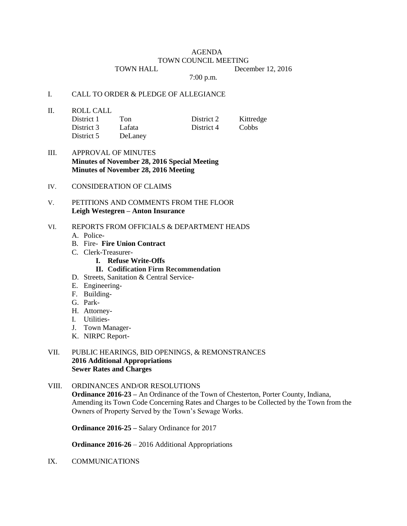# AGENDA

#### TOWN COUNCIL MEETING

TOWN HALL December 12, 2016

7:00 p.m.

#### I. CALL TO ORDER & PLEDGE OF ALLEGIANCE

II. ROLL CALL

| District 1 | Ton     | District 2 | Kittredge |
|------------|---------|------------|-----------|
| District 3 | Lafata  | District 4 | Cobbs     |
| District 5 | DeLaney |            |           |

- III. APPROVAL OF MINUTES **Minutes of November 28, 2016 Special Meeting Minutes of November 28, 2016 Meeting**
- IV. CONSIDERATION OF CLAIMS

## V. PETITIONS AND COMMENTS FROM THE FLOOR **Leigh Westegren – Anton Insurance**

## VI. REPORTS FROM OFFICIALS & DEPARTMENT HEADS

- A. Police-
- B. Fire- **Fire Union Contract**
- C. Clerk-Treasurer-
	- **I. Refuse Write-Offs**
		- **II. Codification Firm Recommendation**
- D. Streets, Sanitation & Central Service-
- E. Engineering-
- F. Building-
- G. Park-
- H. Attorney-
- I. Utilities-
- J. Town Manager-
- K. NIRPC Report-

#### VII. PUBLIC HEARINGS, BID OPENINGS, & REMONSTRANCES **2016 Additional Appropriations Sewer Rates and Charges**

# VIII. ORDINANCES AND/OR RESOLUTIONS

**Ordinance 2016-23 –** An Ordinance of the Town of Chesterton, Porter County, Indiana, Amending its Town Code Concerning Rates and Charges to be Collected by the Town from the Owners of Property Served by the Town's Sewage Works.

**Ordinance 2016-25 –** Salary Ordinance for 2017

**Ordinance 2016-26** – 2016 Additional Appropriations

IX. COMMUNICATIONS